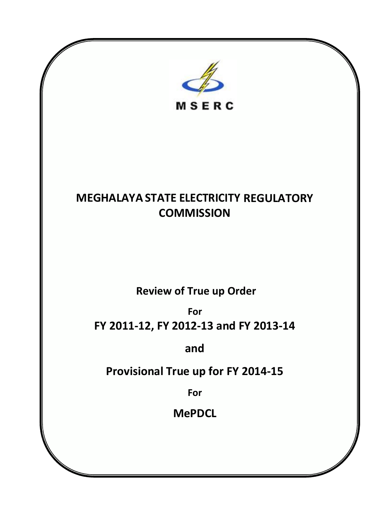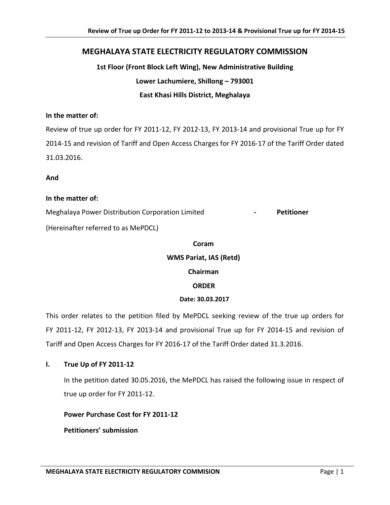# **MEGHALAYA STATE ELECTRICITY REGULATORY COMMISSION**

**1st Floor (Front Block Left Wing), New Administrative Building Lower Lachumiere, Shillong – 793001 East Khasi Hills District, Meghalaya**

#### **In the matter of:**

Review of true up order for FY 2011-12, FY 2012-13, FY 2013-14 and provisional True up for FY 2014-15 and revision of Tariff and Open Access Charges for FY 2016-17 of the Tariff Order dated 31.03.2016.

**And**

#### **In the matter of:**

Meghalaya Power Distribution Corporation Limited **- Petitioner**  (Hereinafter referred to as MePDCL)

# **Coram WMS Pariat, IAS (Retd) Chairman**

### **ORDER**

#### **Date: 30.03.2017**

This order relates to the petition filed by MePDCL seeking review of the true up orders for FY 2011-12, FY 2012-13, FY 2013-14 and provisional True up for FY 2014-15 and revision of Tariff and Open Access Charges for FY 2016-17 of the Tariff Order dated 31.3.2016.

#### **I. True Up of FY 2011-12**

In the petition dated 30.05.2016, the MePDCL has raised the following issue in respect of true up order for FY 2011-12.

#### **Power Purchase Cost for FY 2011-12**

**Petitioners' submission**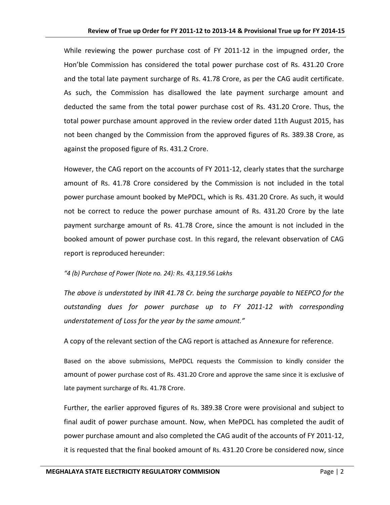While reviewing the power purchase cost of FY 2011-12 in the impugned order, the Hon'ble Commission has considered the total power purchase cost of Rs. 431.20 Crore and the total late payment surcharge of Rs. 41.78 Crore, as per the CAG audit certificate. As such, the Commission has disallowed the late payment surcharge amount and deducted the same from the total power purchase cost of Rs. 431.20 Crore. Thus, the total power purchase amount approved in the review order dated 11th August 2015, has not been changed by the Commission from the approved figures of Rs. 389.38 Crore, as against the proposed figure of Rs. 431.2 Crore.

However, the CAG report on the accounts of FY 2011-12, clearly states that the surcharge amount of Rs. 41.78 Crore considered by the Commission is not included in the total power purchase amount booked by MePDCL, which is Rs. 431.20 Crore. As such, it would not be correct to reduce the power purchase amount of Rs. 431.20 Crore by the late payment surcharge amount of Rs. 41.78 Crore, since the amount is not included in the booked amount of power purchase cost. In this regard, the relevant observation of CAG report is reproduced hereunder:

#### *"4 (b) Purchase of Power (Note no. 24): Rs. 43,119.56 Lakhs*

*The above is understated by INR 41.78 Cr. being the surcharge payable to NEEPCO for the outstanding dues for power purchase up to FY 2011-12 with corresponding understatement of Loss for the year by the same amount."*

A copy of the relevant section of the CAG report is attached as Annexure for reference.

Based on the above submissions, MePDCL requests the Commission to kindly consider the amount of power purchase cost of Rs. 431.20 Crore and approve the same since it is exclusive of late payment surcharge of Rs. 41.78 Crore.

Further, the earlier approved figures of Rs. 389.38 Crore were provisional and subject to final audit of power purchase amount. Now, when MePDCL has completed the audit of power purchase amount and also completed the CAG audit of the accounts of FY 2011-12, it is requested that the final booked amount of Rs. 431.20 Crore be considered now, since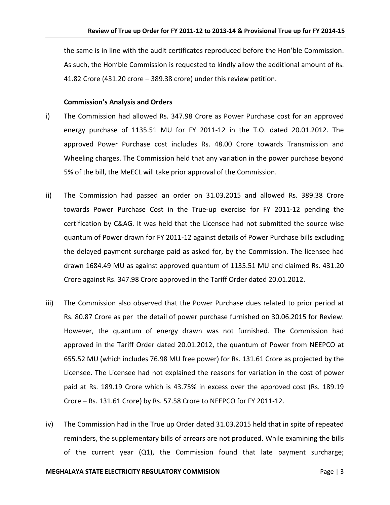the same is in line with the audit certificates reproduced before the Hon'ble Commission. As such, the Hon'ble Commission is requested to kindly allow the additional amount of Rs. 41.82 Crore (431.20 crore – 389.38 crore) under this review petition.

#### **Commission's Analysis and Orders**

- i) The Commission had allowed Rs. 347.98 Crore as Power Purchase cost for an approved energy purchase of 1135.51 MU for FY 2011-12 in the T.O. dated 20.01.2012. The approved Power Purchase cost includes Rs. 48.00 Crore towards Transmission and Wheeling charges. The Commission held that any variation in the power purchase beyond 5% of the bill, the MeECL will take prior approval of the Commission.
- ii) The Commission had passed an order on 31.03.2015 and allowed Rs. 389.38 Crore towards Power Purchase Cost in the True-up exercise for FY 2011-12 pending the certification by C&AG. It was held that the Licensee had not submitted the source wise quantum of Power drawn for FY 2011-12 against details of Power Purchase bills excluding the delayed payment surcharge paid as asked for, by the Commission. The licensee had drawn 1684.49 MU as against approved quantum of 1135.51 MU and claimed Rs. 431.20 Crore against Rs. 347.98 Crore approved in the Tariff Order dated 20.01.2012.
- iii) The Commission also observed that the Power Purchase dues related to prior period at Rs. 80.87 Crore as per the detail of power purchase furnished on 30.06.2015 for Review. However, the quantum of energy drawn was not furnished. The Commission had approved in the Tariff Order dated 20.01.2012, the quantum of Power from NEEPCO at 655.52 MU (which includes 76.98 MU free power) for Rs. 131.61 Crore as projected by the Licensee. The Licensee had not explained the reasons for variation in the cost of power paid at Rs. 189.19 Crore which is 43.75% in excess over the approved cost (Rs. 189.19 Crore – Rs. 131.61 Crore) by Rs. 57.58 Crore to NEEPCO for FY 2011-12.
- iv) The Commission had in the True up Order dated 31.03.2015 held that in spite of repeated reminders, the supplementary bills of arrears are not produced. While examining the bills of the current year (Q1), the Commission found that late payment surcharge;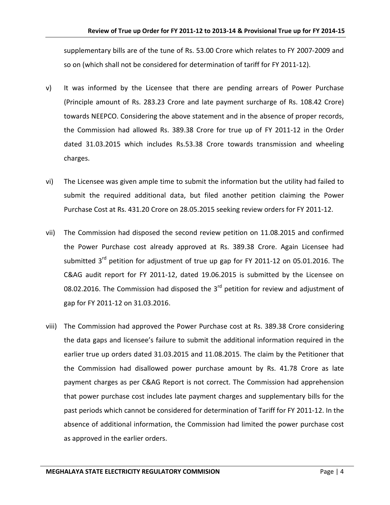supplementary bills are of the tune of Rs. 53.00 Crore which relates to FY 2007-2009 and so on (which shall not be considered for determination of tariff for FY 2011-12).

- v) It was informed by the Licensee that there are pending arrears of Power Purchase (Principle amount of Rs. 283.23 Crore and late payment surcharge of Rs. 108.42 Crore) towards NEEPCO. Considering the above statement and in the absence of proper records, the Commission had allowed Rs. 389.38 Crore for true up of FY 2011-12 in the Order dated 31.03.2015 which includes Rs.53.38 Crore towards transmission and wheeling charges.
- vi) The Licensee was given ample time to submit the information but the utility had failed to submit the required additional data, but filed another petition claiming the Power Purchase Cost at Rs. 431.20 Crore on 28.05.2015 seeking review orders for FY 2011-12.
- vii) The Commission had disposed the second review petition on 11.08.2015 and confirmed the Power Purchase cost already approved at Rs. 389.38 Crore. Again Licensee had submitted 3<sup>rd</sup> petition for adjustment of true up gap for FY 2011-12 on 05.01.2016. The C&AG audit report for FY 2011-12, dated 19.06.2015 is submitted by the Licensee on 08.02.2016. The Commission had disposed the  $3<sup>rd</sup>$  petition for review and adjustment of gap for FY 2011-12 on 31.03.2016.
- viii) The Commission had approved the Power Purchase cost at Rs. 389.38 Crore considering the data gaps and licensee's failure to submit the additional information required in the earlier true up orders dated 31.03.2015 and 11.08.2015. The claim by the Petitioner that the Commission had disallowed power purchase amount by Rs. 41.78 Crore as late payment charges as per C&AG Report is not correct. The Commission had apprehension that power purchase cost includes late payment charges and supplementary bills for the past periods which cannot be considered for determination of Tariff for FY 2011-12. In the absence of additional information, the Commission had limited the power purchase cost as approved in the earlier orders.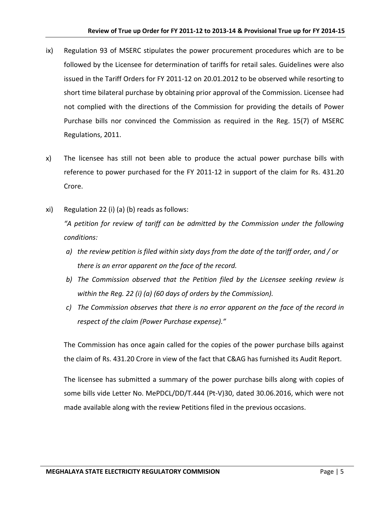- ix) Regulation 93 of MSERC stipulates the power procurement procedures which are to be followed by the Licensee for determination of tariffs for retail sales. Guidelines were also issued in the Tariff Orders for FY 2011-12 on 20.01.2012 to be observed while resorting to short time bilateral purchase by obtaining prior approval of the Commission. Licensee had not complied with the directions of the Commission for providing the details of Power Purchase bills nor convinced the Commission as required in the Reg. 15(7) of MSERC Regulations, 2011.
- x) The licensee has still not been able to produce the actual power purchase bills with reference to power purchased for the FY 2011-12 in support of the claim for Rs. 431.20 Crore.
- xi) Regulation 22 (i) (a) (b) reads as follows: *"A petition for review of tariff can be admitted by the Commission under the following conditions:* 
	- *a) the review petition is filed within sixty days from the date of the tariff order, and / or there is an error apparent on the face of the record.*
	- *b) The Commission observed that the Petition filed by the Licensee seeking review is within the Reg. 22 (i) (a) (60 days of orders by the Commission).*
	- *c) The Commission observes that there is no error apparent on the face of the record in respect of the claim (Power Purchase expense)."*

The Commission has once again called for the copies of the power purchase bills against the claim of Rs. 431.20 Crore in view of the fact that C&AG has furnished its Audit Report.

The licensee has submitted a summary of the power purchase bills along with copies of some bills vide Letter No. MePDCL/DD/T.444 (Pt-V)30, dated 30.06.2016, which were not made available along with the review Petitions filed in the previous occasions.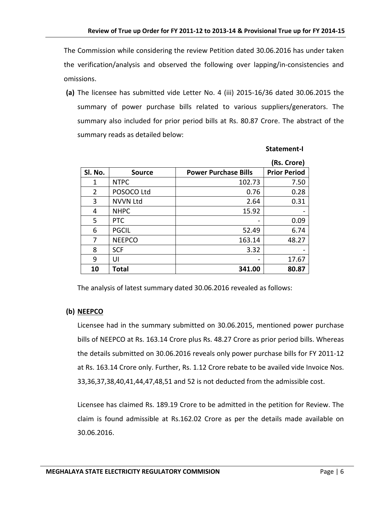The Commission while considering the review Petition dated 30.06.2016 has under taken the verification/analysis and observed the following over lapping/in-consistencies and omissions.

**(a)** The licensee has submitted vide Letter No. 4 (iii) 2015-16/36 dated 30.06.2015 the summary of power purchase bills related to various suppliers/generators. The summary also included for prior period bills at Rs. 80.87 Crore. The abstract of the summary reads as detailed below:

|                |                 |                             | (Rs. Crore)         |
|----------------|-----------------|-----------------------------|---------------------|
| Sl. No.        | <b>Source</b>   | <b>Power Purchase Bills</b> | <b>Prior Period</b> |
| 1              | <b>NTPC</b>     | 102.73                      | 7.50                |
| $\overline{2}$ | POSOCO Ltd      | 0.76                        | 0.28                |
| 3              | <b>NVVN Ltd</b> | 2.64                        | 0.31                |
| 4              | <b>NHPC</b>     | 15.92                       |                     |
| 5              | <b>PTC</b>      |                             | 0.09                |
| 6              | <b>PGCIL</b>    | 52.49                       | 6.74                |
| $\overline{7}$ | <b>NEEPCO</b>   | 163.14                      | 48.27               |
| 8              | <b>SCF</b>      | 3.32                        |                     |
| 9              | UI              |                             | 17.67               |
| 10             | <b>Total</b>    | 341.00                      | 80.87               |

 **Statement-I**

The analysis of latest summary dated 30.06.2016 revealed as follows:

#### **(b) NEEPCO**

Licensee had in the summary submitted on 30.06.2015, mentioned power purchase bills of NEEPCO at Rs. 163.14 Crore plus Rs. 48.27 Crore as prior period bills. Whereas the details submitted on 30.06.2016 reveals only power purchase bills for FY 2011-12 at Rs. 163.14 Crore only. Further, Rs. 1.12 Crore rebate to be availed vide Invoice Nos. 33,36,37,38,40,41,44,47,48,51 and 52 is not deducted from the admissible cost.

Licensee has claimed Rs. 189.19 Crore to be admitted in the petition for Review. The claim is found admissible at Rs.162.02 Crore as per the details made available on 30.06.2016.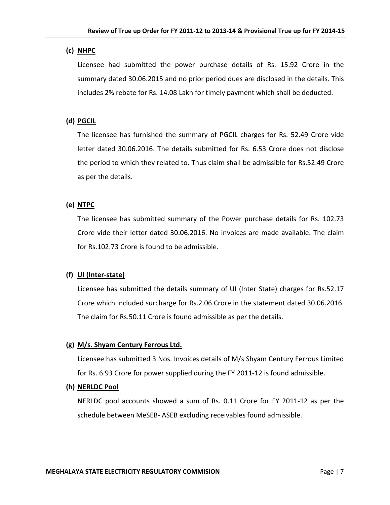### **(c) NHPC**

Licensee had submitted the power purchase details of Rs. 15.92 Crore in the summary dated 30.06.2015 and no prior period dues are disclosed in the details. This includes 2% rebate for Rs. 14.08 Lakh for timely payment which shall be deducted.

# **(d) PGCIL**

The licensee has furnished the summary of PGCIL charges for Rs. 52.49 Crore vide letter dated 30.06.2016. The details submitted for Rs. 6.53 Crore does not disclose the period to which they related to. Thus claim shall be admissible for Rs.52.49 Crore as per the details.

# **(e) NTPC**

The licensee has submitted summary of the Power purchase details for Rs. 102.73 Crore vide their letter dated 30.06.2016. No invoices are made available. The claim for Rs.102.73 Crore is found to be admissible.

# **(f) UI (Inter-state)**

Licensee has submitted the details summary of UI (Inter State) charges for Rs.52.17 Crore which included surcharge for Rs.2.06 Crore in the statement dated 30.06.2016. The claim for Rs.50.11 Crore is found admissible as per the details.

# **(g) M/s. Shyam Century Ferrous Ltd.**

Licensee has submitted 3 Nos. Invoices details of M/s Shyam Century Ferrous Limited for Rs. 6.93 Crore for power supplied during the FY 2011-12 is found admissible.

### **(h) NERLDC Pool**

NERLDC pool accounts showed a sum of Rs. 0.11 Crore for FY 2011-12 as per the schedule between MeSEB- ASEB excluding receivables found admissible.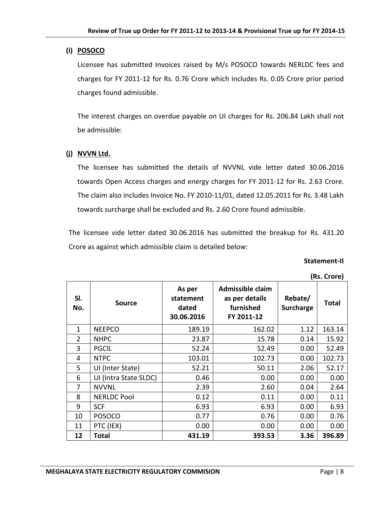### **(i) POSOCO**

Licensee has submitted Invoices raised by M/s POSOCO towards NERLDC fees and charges for FY 2011-12 for Rs. 0.76 Crore which includes Rs. 0.05 Crore prior period charges found admissible.

The interest charges on overdue payable on UI charges for Rs. 206.84 Lakh shall not be admissible:

#### **(j) NVVN Ltd.**

The licensee has submitted the details of NVVNL vide letter dated 30.06.2016 towards Open Access charges and energy charges for FY 2011-12 for Rs. 2.63 Crore. The claim also includes Invoice No. FY 2010-11/01, dated 12.05.2011 for Rs. 3.48 Lakh towards surcharge shall be excluded and Rs. 2.60 Crore found admissible.

The licensee vide letter dated 30.06.2016 has submitted the breakup for Rs. 431.20 Crore as against which admissible claim is detailed below:

#### **Statement-II**

|                | ,                     |                                            |                                                               |                      |        |
|----------------|-----------------------|--------------------------------------------|---------------------------------------------------------------|----------------------|--------|
| SI.<br>No.     | <b>Source</b>         | As per<br>statement<br>dated<br>30.06.2016 | Admissible claim<br>as per details<br>furnished<br>FY 2011-12 | Rebate/<br>Surcharge | Total  |
| 1              | <b>NEEPCO</b>         | 189.19                                     | 162.02                                                        | 1.12                 | 163.14 |
| $\overline{2}$ | <b>NHPC</b>           | 23.87                                      | 15.78                                                         | 0.14                 | 15.92  |
| 3              | <b>PGCIL</b>          | 52.24                                      | 52.49                                                         | 0.00                 | 52.49  |
| 4              | <b>NTPC</b>           | 103.01                                     | 102.73                                                        | 0.00                 | 102.73 |
| 5              | UI (Inter State)      | 52.21                                      | 50.11                                                         | 2.06                 | 52.17  |
| 6              | UI (Intra State SLDC) | 0.46                                       | 0.00                                                          | 0.00                 | 0.00   |
| 7              | <b>NVVNL</b>          | 2.39                                       | 2.60                                                          | 0.04                 | 2.64   |
| 8              | <b>NERLDC Pool</b>    | 0.12                                       | 0.11                                                          | 0.00                 | 0.11   |
| 9              | <b>SCF</b>            | 6.93                                       | 6.93                                                          | 0.00                 | 6.93   |
| 10             | <b>POSOCO</b>         | 0.77                                       | 0.76                                                          | 0.00                 | 0.76   |
| 11             | PTC (IEX)             | 0.00                                       | 0.00                                                          | 0.00                 | 0.00   |
| 12             | Total                 | 431.19                                     | 393.53                                                        | 3.36                 | 396.89 |

**(Rs. Crore)**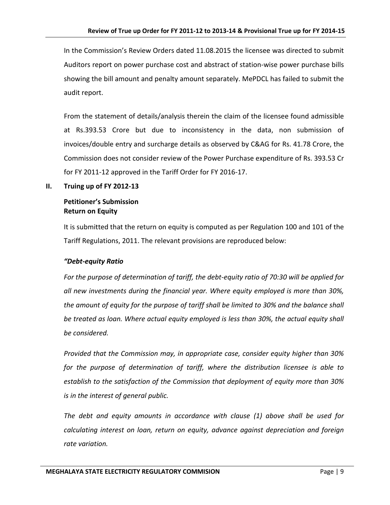In the Commission's Review Orders dated 11.08.2015 the licensee was directed to submit Auditors report on power purchase cost and abstract of station-wise power purchase bills showing the bill amount and penalty amount separately. MePDCL has failed to submit the audit report.

From the statement of details/analysis therein the claim of the licensee found admissible at Rs.393.53 Crore but due to inconsistency in the data, non submission of invoices/double entry and surcharge details as observed by C&AG for Rs. 41.78 Crore, the Commission does not consider review of the Power Purchase expenditure of Rs. 393.53 Cr for FY 2011-12 approved in the Tariff Order for FY 2016-17.

#### **II. Truing up of FY 2012-13**

### **Petitioner's Submission Return on Equity**

It is submitted that the return on equity is computed as per Regulation 100 and 101 of the Tariff Regulations, 2011. The relevant provisions are reproduced below:

### *"Debt-equity Ratio*

*For the purpose of determination of tariff, the debt-equity ratio of 70:30 will be applied for all new investments during the financial year. Where equity employed is more than 30%, the amount of equity for the purpose of tariff shall be limited to 30% and the balance shall be treated as loan. Where actual equity employed is less than 30%, the actual equity shall be considered.* 

*Provided that the Commission may, in appropriate case, consider equity higher than 30% for the purpose of determination of tariff, where the distribution licensee is able to establish to the satisfaction of the Commission that deployment of equity more than 30% is in the interest of general public.* 

*The debt and equity amounts in accordance with clause (1) above shall be used for calculating interest on loan, return on equity, advance against depreciation and foreign rate variation.*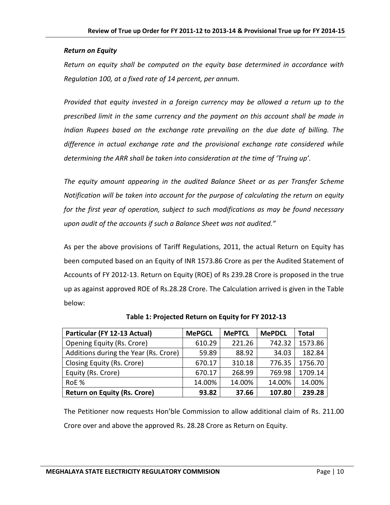#### *Return on Equity*

*Return on equity shall be computed on the equity base determined in accordance with Regulation 100, at a fixed rate of 14 percent, per annum.* 

*Provided that equity invested in a foreign currency may be allowed a return up to the prescribed limit in the same currency and the payment on this account shall be made in Indian Rupees based on the exchange rate prevailing on the due date of billing. The difference in actual exchange rate and the provisional exchange rate considered while determining the ARR shall be taken into consideration at the time of 'Truing up'.* 

*The equity amount appearing in the audited Balance Sheet or as per Transfer Scheme Notification will be taken into account for the purpose of calculating the return on equity for the first year of operation, subject to such modifications as may be found necessary upon audit of the accounts if such a Balance Sheet was not audited."* 

As per the above provisions of Tariff Regulations, 2011, the actual Return on Equity has been computed based on an Equity of INR 1573.86 Crore as per the Audited Statement of Accounts of FY 2012-13. Return on Equity (ROE) of Rs 239.28 Crore is proposed in the true up as against approved ROE of Rs.28.28 Crore. The Calculation arrived is given in the Table below:

| Particular (FY 12-13 Actual)          | <b>MePGCL</b> | <b>MePTCL</b> | <b>MePDCL</b> | <b>Total</b> |
|---------------------------------------|---------------|---------------|---------------|--------------|
| <b>Opening Equity (Rs. Crore)</b>     | 610.29        | 221.26        | 742.32        | 1573.86      |
| Additions during the Year (Rs. Crore) | 59.89         | 88.92         | 34.03         | 182.84       |
| Closing Equity (Rs. Crore)            | 670.17        | 310.18        | 776.35        | 1756.70      |
| Equity (Rs. Crore)                    | 670.17        | 268.99        | 769.98        | 1709.14      |
| RoE %                                 | 14.00%        | 14.00%        | 14.00%        | 14.00%       |
| <b>Return on Equity (Rs. Crore)</b>   | 93.82         | 37.66         | 107.80        | 239.28       |

**Table 1: Projected Return on Equity for FY 2012-13**

The Petitioner now requests Hon'ble Commission to allow additional claim of Rs. 211.00 Crore over and above the approved Rs. 28.28 Crore as Return on Equity.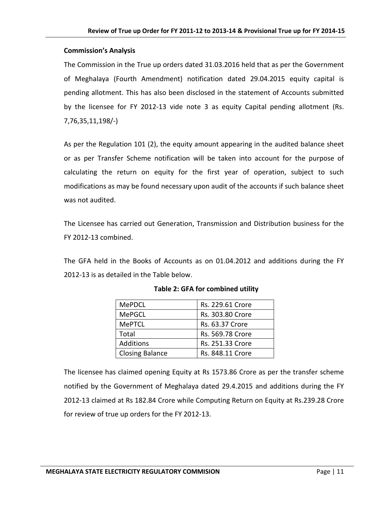#### **Commission's Analysis**

The Commission in the True up orders dated 31.03.2016 held that as per the Government of Meghalaya (Fourth Amendment) notification dated 29.04.2015 equity capital is pending allotment. This has also been disclosed in the statement of Accounts submitted by the licensee for FY 2012-13 vide note 3 as equity Capital pending allotment (Rs. 7,76,35,11,198/-)

As per the Regulation 101 (2), the equity amount appearing in the audited balance sheet or as per Transfer Scheme notification will be taken into account for the purpose of calculating the return on equity for the first year of operation, subject to such modifications as may be found necessary upon audit of the accounts if such balance sheet was not audited.

The Licensee has carried out Generation, Transmission and Distribution business for the FY 2012-13 combined.

The GFA held in the Books of Accounts as on 01.04.2012 and additions during the FY 2012-13 is as detailed in the Table below.

| <b>MePDCL</b>          | Rs. 229.61 Crore |
|------------------------|------------------|
| <b>MePGCL</b>          | Rs. 303.80 Crore |
| <b>MePTCL</b>          | Rs. 63.37 Crore  |
| Total                  | Rs. 569.78 Crore |
| <b>Additions</b>       | Rs. 251.33 Crore |
| <b>Closing Balance</b> | Rs. 848.11 Crore |

### **Table 2: GFA for combined utility**

The licensee has claimed opening Equity at Rs 1573.86 Crore as per the transfer scheme notified by the Government of Meghalaya dated 29.4.2015 and additions during the FY 2012-13 claimed at Rs 182.84 Crore while Computing Return on Equity at Rs.239.28 Crore for review of true up orders for the FY 2012-13.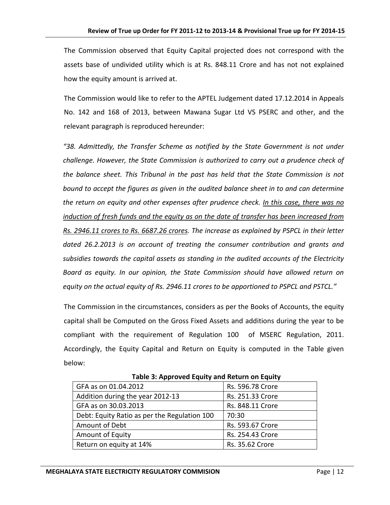The Commission observed that Equity Capital projected does not correspond with the assets base of undivided utility which is at Rs. 848.11 Crore and has not not explained how the equity amount is arrived at.

The Commission would like to refer to the APTEL Judgement dated 17.12.2014 in Appeals No. 142 and 168 of 2013, between Mawana Sugar Ltd VS PSERC and other, and the relevant paragraph is reproduced hereunder:

*"38. Admittedly, the Transfer Scheme as notified by the State Government is not under challenge. However, the State Commission is authorized to carry out a prudence check of the balance sheet. This Tribunal in the past has held that the State Commission is not bound to accept the figures as given in the audited balance sheet in to and can determine the return on equity and other expenses after prudence check. In this case, there was no induction of fresh funds and the equity as on the date of transfer has been increased from Rs. 2946.11 crores to Rs. 6687.26 crores. The increase as explained by PSPCL in their letter dated 26.2.2013 is on account of treating the consumer contribution and grants and subsidies towards the capital assets as standing in the audited accounts of the Electricity Board as equity. In our opinion, the State Commission should have allowed return on equity on the actual equity of Rs. 2946.11 crores to be apportioned to PSPCL and PSTCL."*

The Commission in the circumstances, considers as per the Books of Accounts, the equity capital shall be Computed on the Gross Fixed Assets and additions during the year to be compliant with the requirement of Regulation 100 of MSERC Regulation, 2011. Accordingly, the Equity Capital and Return on Equity is computed in the Table given below:

| $1.00018$ at $1.10001$ at $0.0001$ and $0.001$ at $0.0001$ at $0.0001$ and $0.0001$ |                  |
|-------------------------------------------------------------------------------------|------------------|
| GFA as on 01.04.2012                                                                | Rs. 596.78 Crore |
| Addition during the year 2012-13                                                    | Rs. 251.33 Crore |
| GFA as on 30.03.2013                                                                | Rs. 848.11 Crore |
| Debt: Equity Ratio as per the Regulation 100                                        | 70:30            |
| Amount of Debt                                                                      | Rs. 593.67 Crore |
| Amount of Equity                                                                    | Rs. 254.43 Crore |
| Return on equity at 14%                                                             | Rs. 35.62 Crore  |
|                                                                                     |                  |

**Table 3: Approved Equity and Return on Equity**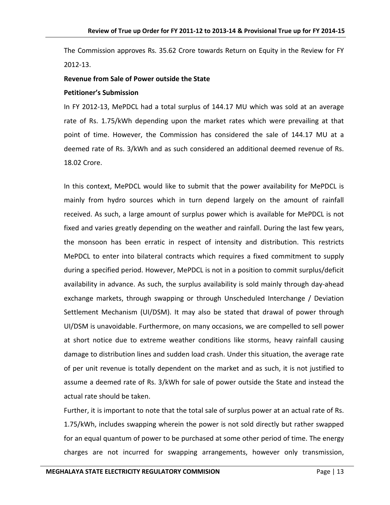The Commission approves Rs. 35.62 Crore towards Return on Equity in the Review for FY 2012-13.

### **Revenue from Sale of Power outside the State**

#### **Petitioner's Submission**

In FY 2012-13, MePDCL had a total surplus of 144.17 MU which was sold at an average rate of Rs. 1.75/kWh depending upon the market rates which were prevailing at that point of time. However, the Commission has considered the sale of 144.17 MU at a deemed rate of Rs. 3/kWh and as such considered an additional deemed revenue of Rs. 18.02 Crore.

In this context, MePDCL would like to submit that the power availability for MePDCL is mainly from hydro sources which in turn depend largely on the amount of rainfall received. As such, a large amount of surplus power which is available for MePDCL is not fixed and varies greatly depending on the weather and rainfall. During the last few years, the monsoon has been erratic in respect of intensity and distribution. This restricts MePDCL to enter into bilateral contracts which requires a fixed commitment to supply during a specified period. However, MePDCL is not in a position to commit surplus/deficit availability in advance. As such, the surplus availability is sold mainly through day-ahead exchange markets, through swapping or through Unscheduled Interchange / Deviation Settlement Mechanism (UI/DSM). It may also be stated that drawal of power through UI/DSM is unavoidable. Furthermore, on many occasions, we are compelled to sell power at short notice due to extreme weather conditions like storms, heavy rainfall causing damage to distribution lines and sudden load crash. Under this situation, the average rate of per unit revenue is totally dependent on the market and as such, it is not justified to assume a deemed rate of Rs. 3/kWh for sale of power outside the State and instead the actual rate should be taken.

Further, it is important to note that the total sale of surplus power at an actual rate of Rs. 1.75/kWh, includes swapping wherein the power is not sold directly but rather swapped for an equal quantum of power to be purchased at some other period of time. The energy charges are not incurred for swapping arrangements, however only transmission,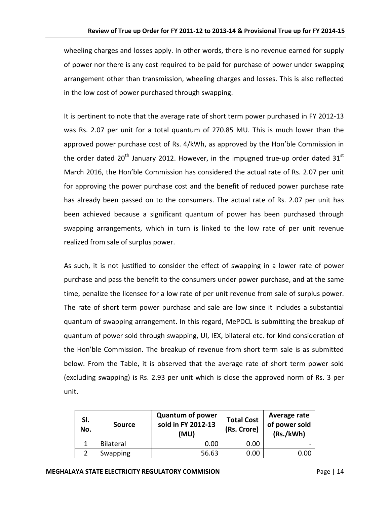wheeling charges and losses apply. In other words, there is no revenue earned for supply of power nor there is any cost required to be paid for purchase of power under swapping arrangement other than transmission, wheeling charges and losses. This is also reflected in the low cost of power purchased through swapping.

It is pertinent to note that the average rate of short term power purchased in FY 2012-13 was Rs. 2.07 per unit for a total quantum of 270.85 MU. This is much lower than the approved power purchase cost of Rs. 4/kWh, as approved by the Hon'ble Commission in the order dated 20<sup>th</sup> January 2012. However, in the impugned true-up order dated 31<sup>st</sup> March 2016, the Hon'ble Commission has considered the actual rate of Rs. 2.07 per unit for approving the power purchase cost and the benefit of reduced power purchase rate has already been passed on to the consumers. The actual rate of Rs. 2.07 per unit has been achieved because a significant quantum of power has been purchased through swapping arrangements, which in turn is linked to the low rate of per unit revenue realized from sale of surplus power.

As such, it is not justified to consider the effect of swapping in a lower rate of power purchase and pass the benefit to the consumers under power purchase, and at the same time, penalize the licensee for a low rate of per unit revenue from sale of surplus power. The rate of short term power purchase and sale are low since it includes a substantial quantum of swapping arrangement. In this regard, MePDCL is submitting the breakup of quantum of power sold through swapping, UI, IEX, bilateral etc. for kind consideration of the Hon'ble Commission. The breakup of revenue from short term sale is as submitted below. From the Table, it is observed that the average rate of short term power sold (excluding swapping) is Rs. 2.93 per unit which is close the approved norm of Rs. 3 per unit.

| SI.<br>No. | <b>Source</b>    | <b>Quantum of power</b><br>sold in FY 2012-13<br>(MU) | <b>Total Cost</b><br>(Rs. Crore) | Average rate<br>of power sold<br>(Rs./kWh) |
|------------|------------------|-------------------------------------------------------|----------------------------------|--------------------------------------------|
|            | <b>Bilateral</b> | 0.00                                                  | 0.00                             |                                            |
|            | Swapping         | 56.63                                                 | 0.00                             | 0.OC                                       |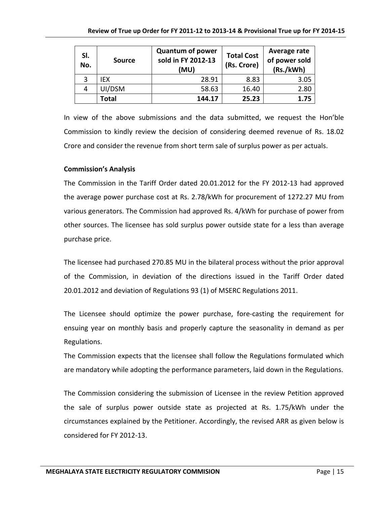| SI.<br>No. | <b>Source</b> | <b>Quantum of power</b><br>sold in FY 2012-13<br>(MU) | <b>Total Cost</b><br>(Rs. Crore) | Average rate<br>of power sold<br>(Rs./kWh) |
|------------|---------------|-------------------------------------------------------|----------------------------------|--------------------------------------------|
| 3          | IEX.          | 28.91                                                 | 8.83                             | 3.05                                       |
|            | UI/DSM        | 58.63                                                 | 16.40                            | 2.80                                       |
|            | Total         | 144.17                                                | 25.23                            | 1.75                                       |

In view of the above submissions and the data submitted, we request the Hon'ble Commission to kindly review the decision of considering deemed revenue of Rs. 18.02 Crore and consider the revenue from short term sale of surplus power as per actuals.

#### **Commission's Analysis**

The Commission in the Tariff Order dated 20.01.2012 for the FY 2012-13 had approved the average power purchase cost at Rs. 2.78/kWh for procurement of 1272.27 MU from various generators. The Commission had approved Rs. 4/kWh for purchase of power from other sources. The licensee has sold surplus power outside state for a less than average purchase price.

The licensee had purchased 270.85 MU in the bilateral process without the prior approval of the Commission, in deviation of the directions issued in the Tariff Order dated 20.01.2012 and deviation of Regulations 93 (1) of MSERC Regulations 2011.

The Licensee should optimize the power purchase, fore-casting the requirement for ensuing year on monthly basis and properly capture the seasonality in demand as per Regulations.

The Commission expects that the licensee shall follow the Regulations formulated which are mandatory while adopting the performance parameters, laid down in the Regulations.

The Commission considering the submission of Licensee in the review Petition approved the sale of surplus power outside state as projected at Rs. 1.75/kWh under the circumstances explained by the Petitioner. Accordingly, the revised ARR as given below is considered for FY 2012-13.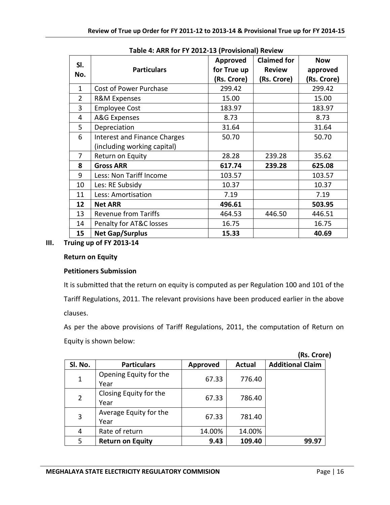|                |                                     | Approved    | <b>Claimed for</b> | <b>Now</b>  |
|----------------|-------------------------------------|-------------|--------------------|-------------|
| SI.            | <b>Particulars</b>                  | for True up | <b>Review</b>      | approved    |
| No.            |                                     | (Rs. Crore) | (Rs. Crore)        | (Rs. Crore) |
| $\mathbf{1}$   | <b>Cost of Power Purchase</b>       | 299.42      |                    | 299.42      |
| $\overline{2}$ | <b>R&amp;M Expenses</b>             | 15.00       |                    | 15.00       |
| 3              | <b>Employee Cost</b>                | 183.97      |                    | 183.97      |
| 4              | A&G Expenses                        | 8.73        |                    | 8.73        |
| 5              | Depreciation                        | 31.64       |                    | 31.64       |
| 6              | <b>Interest and Finance Charges</b> | 50.70       |                    | 50.70       |
|                | (including working capital)         |             |                    |             |
| 7              | Return on Equity                    | 28.28       | 239.28             | 35.62       |
| 8              | <b>Gross ARR</b>                    | 617.74      | 239.28             | 625.08      |
| 9              | Less: Non Tariff Income             | 103.57      |                    | 103.57      |
| 10             | Les: RE Subsidy                     | 10.37       |                    | 10.37       |
| 11             | Less: Amortisation                  | 7.19        |                    | 7.19        |
| 12             | <b>Net ARR</b>                      | 496.61      |                    | 503.95      |
| 13             | <b>Revenue from Tariffs</b>         | 464.53      | 446.50             | 446.51      |
| 14             | Penalty for AT&C losses             | 16.75       |                    | 16.75       |
| 15             | <b>Net Gap/Surplus</b>              | 15.33       |                    | 40.69       |

**Table 4: ARR for FY 2012-13 (Provisional) Review**

### **III. Truing up of FY 2013-14**

#### **Return on Equity**

### **Petitioners Submission**

It is submitted that the return on equity is computed as per Regulation 100 and 101 of the Tariff Regulations, 2011. The relevant provisions have been produced earlier in the above clauses.

As per the above provisions of Tariff Regulations, 2011, the computation of Return on Equity is shown below:

|                |                                |          |               | (Rs. Crore)             |
|----------------|--------------------------------|----------|---------------|-------------------------|
| Sl. No.        | <b>Particulars</b>             | Approved | <b>Actual</b> | <b>Additional Claim</b> |
| $\mathbf 1$    | Opening Equity for the<br>Year | 67.33    | 776.40        |                         |
| $\overline{2}$ | Closing Equity for the<br>Year | 67.33    | 786.40        |                         |
| 3              | Average Equity for the<br>Year | 67.33    | 781.40        |                         |
| 4              | Rate of return                 | 14.00%   | 14.00%        |                         |
| 5              | <b>Return on Equity</b>        | 9.43     | 109.40        | 99.97                   |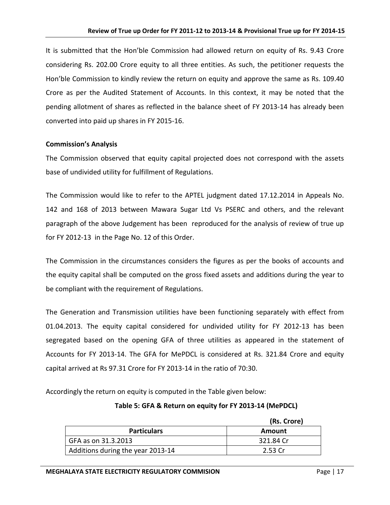It is submitted that the Hon'ble Commission had allowed return on equity of Rs. 9.43 Crore considering Rs. 202.00 Crore equity to all three entities. As such, the petitioner requests the Hon'ble Commission to kindly review the return on equity and approve the same as Rs. 109.40 Crore as per the Audited Statement of Accounts. In this context, it may be noted that the pending allotment of shares as reflected in the balance sheet of FY 2013-14 has already been converted into paid up shares in FY 2015-16.

#### **Commission's Analysis**

The Commission observed that equity capital projected does not correspond with the assets base of undivided utility for fulfillment of Regulations.

The Commission would like to refer to the APTEL judgment dated 17.12.2014 in Appeals No. 142 and 168 of 2013 between Mawara Sugar Ltd Vs PSERC and others, and the relevant paragraph of the above Judgement has been reproduced for the analysis of review of true up for FY 2012-13 in the Page No. 12 of this Order.

The Commission in the circumstances considers the figures as per the books of accounts and the equity capital shall be computed on the gross fixed assets and additions during the year to be compliant with the requirement of Regulations.

The Generation and Transmission utilities have been functioning separately with effect from 01.04.2013. The equity capital considered for undivided utility for FY 2012-13 has been segregated based on the opening GFA of three utilities as appeared in the statement of Accounts for FY 2013-14. The GFA for MePDCL is considered at Rs. 321.84 Crore and equity capital arrived at Rs 97.31 Crore for FY 2013-14 in the ratio of 70:30.

Accordingly the return on equity is computed in the Table given below:

**Table 5: GFA & Return on equity for FY 2013-14 (MePDCL)**

|                                   | (Rs. Crore) |
|-----------------------------------|-------------|
| <b>Particulars</b>                | Amount      |
| GFA as on 31.3.2013               | 321.84 Cr   |
| Additions during the year 2013-14 | 2.53 Cr     |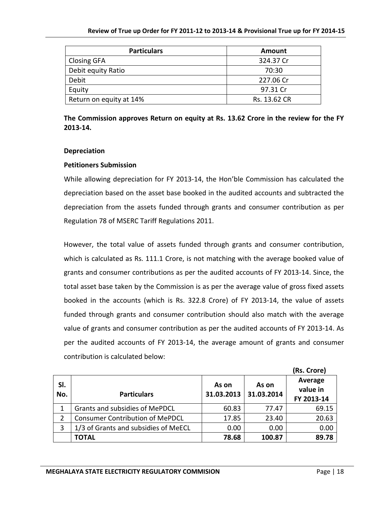| <b>Particulars</b>      | <b>Amount</b> |  |
|-------------------------|---------------|--|
| <b>Closing GFA</b>      | 324.37 Cr     |  |
| Debit equity Ratio      | 70:30         |  |
| Debit                   | 227.06 Cr     |  |
| Equity                  | 97.31 Cr      |  |
| Return on equity at 14% | Rs. 13.62 CR  |  |

**The Commission approves Return on equity at Rs. 13.62 Crore in the review for the FY 2013-14.**

#### **Depreciation**

#### **Petitioners Submission**

While allowing depreciation for FY 2013-14, the Hon'ble Commission has calculated the depreciation based on the asset base booked in the audited accounts and subtracted the depreciation from the assets funded through grants and consumer contribution as per Regulation 78 of MSERC Tariff Regulations 2011.

However, the total value of assets funded through grants and consumer contribution, which is calculated as Rs. 111.1 Crore, is not matching with the average booked value of grants and consumer contributions as per the audited accounts of FY 2013-14. Since, the total asset base taken by the Commission is as per the average value of gross fixed assets booked in the accounts (which is Rs. 322.8 Crore) of FY 2013-14, the value of assets funded through grants and consumer contribution should also match with the average value of grants and consumer contribution as per the audited accounts of FY 2013-14. As per the audited accounts of FY 2013-14, the average amount of grants and consumer contribution is calculated below:

|            |                                        |                     |                     | (Rs. Crore)                       |
|------------|----------------------------------------|---------------------|---------------------|-----------------------------------|
| SI.<br>No. | <b>Particulars</b>                     | As on<br>31.03.2013 | As on<br>31.03.2014 | Average<br>value in<br>FY 2013-14 |
| 1          | <b>Grants and subsidies of MePDCL</b>  | 60.83               | 77.47               | 69.15                             |
| 2          | <b>Consumer Contribution of MePDCL</b> | 17.85               | 23.40               | 20.63                             |
| 3          | 1/3 of Grants and subsidies of MeECL   | 0.00                | 0.00                | 0.00                              |
|            | <b>TOTAL</b>                           | 78.68               | 100.87              | 89.78                             |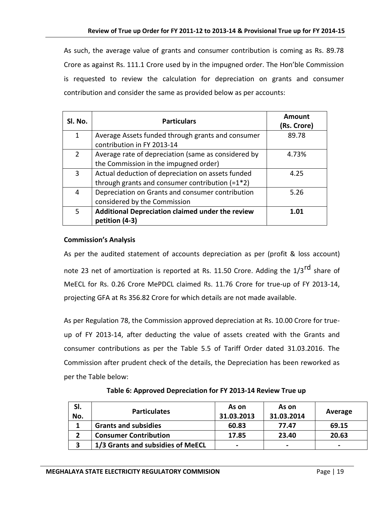As such, the average value of grants and consumer contribution is coming as Rs. 89.78 Crore as against Rs. 111.1 Crore used by in the impugned order. The Hon'ble Commission is requested to review the calculation for depreciation on grants and consumer contribution and consider the same as provided below as per accounts:

| SI. No.       | <b>Particulars</b>                                                                                     | Amount<br>(Rs. Crore) |
|---------------|--------------------------------------------------------------------------------------------------------|-----------------------|
| 1             | Average Assets funded through grants and consumer<br>contribution in FY 2013-14                        | 89.78                 |
| $\mathcal{P}$ | Average rate of depreciation (same as considered by<br>the Commission in the impugned order)           | 4.73%                 |
| 3             | Actual deduction of depreciation on assets funded<br>through grants and consumer contribution $(=1*2)$ | 4.25                  |
| 4             | Depreciation on Grants and consumer contribution<br>considered by the Commission                       | 5.26                  |
| 5             | Additional Depreciation claimed under the review<br>petition (4-3)                                     | 1.01                  |

#### **Commission's Analysis**

As per the audited statement of accounts depreciation as per (profit & loss account) note 23 net of amortization is reported at Rs. 11.50 Crore. Adding the 1/3<sup>rd</sup> share of MeECL for Rs. 0.26 Crore MePDCL claimed Rs. 11.76 Crore for true-up of FY 2013-14, projecting GFA at Rs 356.82 Crore for which details are not made available.

As per Regulation 78, the Commission approved depreciation at Rs. 10.00 Crore for trueup of FY 2013-14, after deducting the value of assets created with the Grants and consumer contributions as per the Table 5.5 of Tariff Order dated 31.03.2016. The Commission after prudent check of the details, the Depreciation has been reworked as per the Table below:

| SI.<br>No. | <b>Particulates</b>         | As on<br>31.03.2013 | As on<br>31.03.2014 | Average |
|------------|-----------------------------|---------------------|---------------------|---------|
|            | <b>Grants and subsidies</b> | 60.83               | 77.47               | 69.15   |

**2 Consumer Contribution 17.85 23.40 20.63**

**3 1/3 Grants and subsidies of MeECL - - -**

**Table 6: Approved Depreciation for FY 2013-14 Review True up**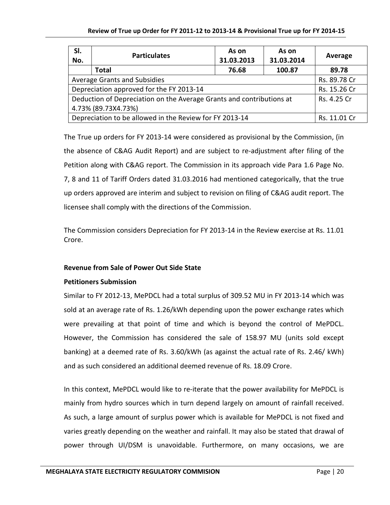| SI.<br>No.                                                           | <b>Particulates</b> | As on<br>31.03.2013 | As on<br>31.03.2014 | Average      |
|----------------------------------------------------------------------|---------------------|---------------------|---------------------|--------------|
|                                                                      | <b>Total</b>        | 76.68               | 100.87              | 89.78        |
| Average Grants and Subsidies                                         | Rs. 89.78 Cr        |                     |                     |              |
| Depreciation approved for the FY 2013-14                             | Rs. 15.26 Cr        |                     |                     |              |
| Deduction of Depreciation on the Average Grants and contributions at | Rs. 4.25 Cr         |                     |                     |              |
| 4.73% (89.73X4.73%)                                                  |                     |                     |                     |              |
| Depreciation to be allowed in the Review for FY 2013-14              |                     |                     |                     | Rs. 11.01 Cr |

The True up orders for FY 2013-14 were considered as provisional by the Commission, (in the absence of C&AG Audit Report) and are subject to re-adjustment after filing of the Petition along with C&AG report. The Commission in its approach vide Para 1.6 Page No. 7, 8 and 11 of Tariff Orders dated 31.03.2016 had mentioned categorically, that the true up orders approved are interim and subject to revision on filing of C&AG audit report. The licensee shall comply with the directions of the Commission.

The Commission considers Depreciation for FY 2013-14 in the Review exercise at Rs. 11.01 Crore.

### **Revenue from Sale of Power Out Side State**

### **Petitioners Submission**

Similar to FY 2012-13, MePDCL had a total surplus of 309.52 MU in FY 2013-14 which was sold at an average rate of Rs. 1.26/kWh depending upon the power exchange rates which were prevailing at that point of time and which is beyond the control of MePDCL. However, the Commission has considered the sale of 158.97 MU (units sold except banking) at a deemed rate of Rs. 3.60/kWh (as against the actual rate of Rs. 2.46/ kWh) and as such considered an additional deemed revenue of Rs. 18.09 Crore.

In this context, MePDCL would like to re-iterate that the power availability for MePDCL is mainly from hydro sources which in turn depend largely on amount of rainfall received. As such, a large amount of surplus power which is available for MePDCL is not fixed and varies greatly depending on the weather and rainfall. It may also be stated that drawal of power through UI/DSM is unavoidable. Furthermore, on many occasions, we are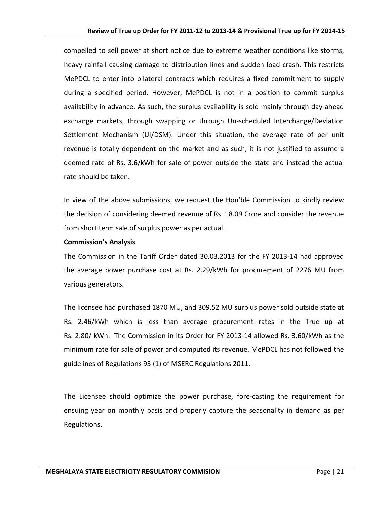compelled to sell power at short notice due to extreme weather conditions like storms, heavy rainfall causing damage to distribution lines and sudden load crash. This restricts MePDCL to enter into bilateral contracts which requires a fixed commitment to supply during a specified period. However, MePDCL is not in a position to commit surplus availability in advance. As such, the surplus availability is sold mainly through day-ahead exchange markets, through swapping or through Un-scheduled Interchange/Deviation Settlement Mechanism (UI/DSM). Under this situation, the average rate of per unit revenue is totally dependent on the market and as such, it is not justified to assume a deemed rate of Rs. 3.6/kWh for sale of power outside the state and instead the actual rate should be taken.

In view of the above submissions, we request the Hon'ble Commission to kindly review the decision of considering deemed revenue of Rs. 18.09 Crore and consider the revenue from short term sale of surplus power as per actual.

#### **Commission's Analysis**

The Commission in the Tariff Order dated 30.03.2013 for the FY 2013-14 had approved the average power purchase cost at Rs. 2.29/kWh for procurement of 2276 MU from various generators.

The licensee had purchased 1870 MU, and 309.52 MU surplus power sold outside state at Rs. 2.46/kWh which is less than average procurement rates in the True up at Rs. 2.80/ kWh. The Commission in its Order for FY 2013-14 allowed Rs. 3.60/kWh as the minimum rate for sale of power and computed its revenue. MePDCL has not followed the guidelines of Regulations 93 (1) of MSERC Regulations 2011.

The Licensee should optimize the power purchase, fore-casting the requirement for ensuing year on monthly basis and properly capture the seasonality in demand as per Regulations.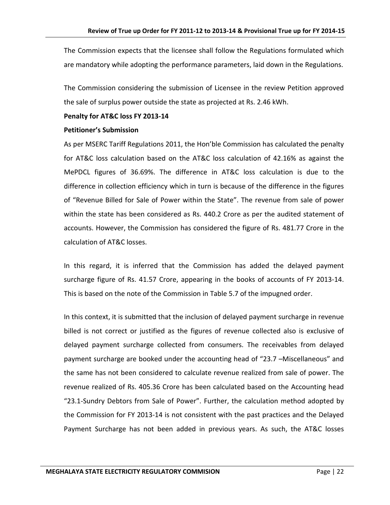The Commission expects that the licensee shall follow the Regulations formulated which are mandatory while adopting the performance parameters, laid down in the Regulations.

The Commission considering the submission of Licensee in the review Petition approved the sale of surplus power outside the state as projected at Rs. 2.46 kWh.

#### **Penalty for AT&C loss FY 2013-14**

#### **Petitioner's Submission**

As per MSERC Tariff Regulations 2011, the Hon'ble Commission has calculated the penalty for AT&C loss calculation based on the AT&C loss calculation of 42.16% as against the MePDCL figures of 36.69%. The difference in AT&C loss calculation is due to the difference in collection efficiency which in turn is because of the difference in the figures of "Revenue Billed for Sale of Power within the State". The revenue from sale of power within the state has been considered as Rs. 440.2 Crore as per the audited statement of accounts. However, the Commission has considered the figure of Rs. 481.77 Crore in the calculation of AT&C losses.

In this regard, it is inferred that the Commission has added the delayed payment surcharge figure of Rs. 41.57 Crore, appearing in the books of accounts of FY 2013-14. This is based on the note of the Commission in Table 5.7 of the impugned order.

In this context, it is submitted that the inclusion of delayed payment surcharge in revenue billed is not correct or justified as the figures of revenue collected also is exclusive of delayed payment surcharge collected from consumers. The receivables from delayed payment surcharge are booked under the accounting head of "23.7 –Miscellaneous" and the same has not been considered to calculate revenue realized from sale of power. The revenue realized of Rs. 405.36 Crore has been calculated based on the Accounting head "23.1-Sundry Debtors from Sale of Power". Further, the calculation method adopted by the Commission for FY 2013-14 is not consistent with the past practices and the Delayed Payment Surcharge has not been added in previous years. As such, the AT&C losses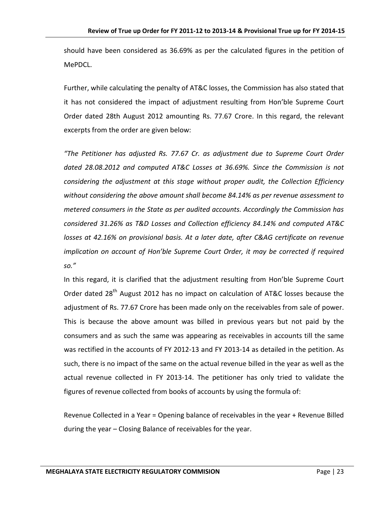should have been considered as 36.69% as per the calculated figures in the petition of MePDCL.

Further, while calculating the penalty of AT&C losses, the Commission has also stated that it has not considered the impact of adjustment resulting from Hon'ble Supreme Court Order dated 28th August 2012 amounting Rs. 77.67 Crore. In this regard, the relevant excerpts from the order are given below:

*"The Petitioner has adjusted Rs. 77.67 Cr. as adjustment due to Supreme Court Order dated 28.08.2012 and computed AT&C Losses at 36.69%. Since the Commission is not considering the adjustment at this stage without proper audit, the Collection Efficiency without considering the above amount shall become 84.14% as per revenue assessment to metered consumers in the State as per audited accounts. Accordingly the Commission has considered 31.26% as T&D Losses and Collection efficiency 84.14% and computed AT&C losses at 42.16% on provisional basis. At a later date, after C&AG certificate on revenue implication on account of Hon'ble Supreme Court Order, it may be corrected if required so."* 

In this regard, it is clarified that the adjustment resulting from Hon'ble Supreme Court Order dated 28<sup>th</sup> August 2012 has no impact on calculation of AT&C losses because the adjustment of Rs. 77.67 Crore has been made only on the receivables from sale of power. This is because the above amount was billed in previous years but not paid by the consumers and as such the same was appearing as receivables in accounts till the same was rectified in the accounts of FY 2012-13 and FY 2013-14 as detailed in the petition. As such, there is no impact of the same on the actual revenue billed in the year as well as the actual revenue collected in FY 2013-14. The petitioner has only tried to validate the figures of revenue collected from books of accounts by using the formula of:

Revenue Collected in a Year = Opening balance of receivables in the year + Revenue Billed during the year – Closing Balance of receivables for the year.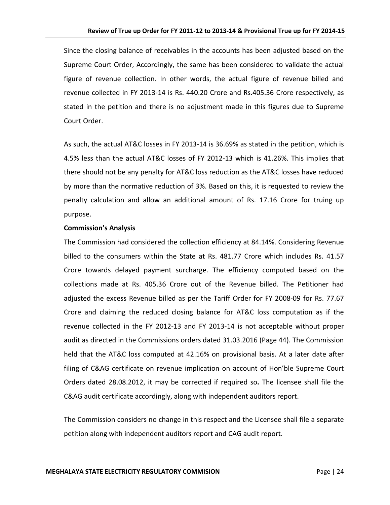Since the closing balance of receivables in the accounts has been adjusted based on the Supreme Court Order, Accordingly, the same has been considered to validate the actual figure of revenue collection. In other words, the actual figure of revenue billed and revenue collected in FY 2013-14 is Rs. 440.20 Crore and Rs.405.36 Crore respectively, as stated in the petition and there is no adjustment made in this figures due to Supreme Court Order.

As such, the actual AT&C losses in FY 2013-14 is 36.69% as stated in the petition, which is 4.5% less than the actual AT&C losses of FY 2012-13 which is 41.26%. This implies that there should not be any penalty for AT&C loss reduction as the AT&C losses have reduced by more than the normative reduction of 3%. Based on this, it is requested to review the penalty calculation and allow an additional amount of Rs. 17.16 Crore for truing up purpose.

#### **Commission's Analysis**

The Commission had considered the collection efficiency at 84.14%. Considering Revenue billed to the consumers within the State at Rs. 481.77 Crore which includes Rs. 41.57 Crore towards delayed payment surcharge. The efficiency computed based on the collections made at Rs. 405.36 Crore out of the Revenue billed. The Petitioner had adjusted the excess Revenue billed as per the Tariff Order for FY 2008-09 for Rs. 77.67 Crore and claiming the reduced closing balance for AT&C loss computation as if the revenue collected in the FY 2012-13 and FY 2013-14 is not acceptable without proper audit as directed in the Commissions orders dated 31.03.2016 (Page 44). The Commission held that the AT&C loss computed at 42.16% on provisional basis. At a later date after filing of C&AG certificate on revenue implication on account of Hon'ble Supreme Court Orders dated 28.08.2012, it may be corrected if required so**.** The licensee shall file the C&AG audit certificate accordingly, along with independent auditors report.

The Commission considers no change in this respect and the Licensee shall file a separate petition along with independent auditors report and CAG audit report.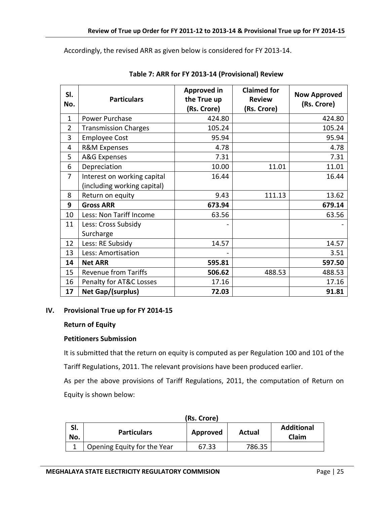Accordingly, the revised ARR as given below is considered for FY 2013-14.

| SI.<br>No.     | <b>Particulars</b>                                         | <b>Approved in</b><br>the True up<br>(Rs. Crore) | <b>Claimed for</b><br><b>Review</b><br>(Rs. Crore) | <b>Now Approved</b><br>(Rs. Crore) |
|----------------|------------------------------------------------------------|--------------------------------------------------|----------------------------------------------------|------------------------------------|
| $\mathbf{1}$   | Power Purchase                                             | 424.80                                           |                                                    | 424.80                             |
| $\overline{2}$ | <b>Transmission Charges</b>                                | 105.24                                           |                                                    | 105.24                             |
| 3              | <b>Employee Cost</b>                                       | 95.94                                            |                                                    | 95.94                              |
| 4              | <b>R&amp;M Expenses</b>                                    | 4.78                                             |                                                    | 4.78                               |
| 5              | A&G Expenses                                               | 7.31                                             |                                                    | 7.31                               |
| 6              | Depreciation                                               | 10.00                                            | 11.01                                              | 11.01                              |
| $\overline{7}$ | Interest on working capital<br>(including working capital) | 16.44                                            |                                                    | 16.44                              |
| 8              | Return on equity                                           | 9.43                                             | 111.13                                             | 13.62                              |
| 9              | <b>Gross ARR</b>                                           | 673.94                                           |                                                    | 679.14                             |
| 10             | Less: Non Tariff Income                                    | 63.56                                            |                                                    | 63.56                              |
| 11             | Less: Cross Subsidy<br>Surcharge                           |                                                  |                                                    |                                    |
| 12             | Less: RE Subsidy                                           | 14.57                                            |                                                    | 14.57                              |
| 13             | Less: Amortisation                                         |                                                  |                                                    | 3.51                               |
| 14             | <b>Net ARR</b>                                             | 595.81                                           |                                                    | 597.50                             |
| 15             | <b>Revenue from Tariffs</b>                                | 506.62                                           | 488.53                                             | 488.53                             |
| 16             | Penalty for AT&C Losses                                    | 17.16                                            |                                                    | 17.16                              |
| 17             | Net Gap/(surplus)                                          | 72.03                                            |                                                    | 91.81                              |

**Table 7: ARR for FY 2013-14 (Provisional) Review**

#### **IV. Provisional True up for FY 2014-15**

#### **Return of Equity**

### **Petitioners Submission**

It is submitted that the return on equity is computed as per Regulation 100 and 101 of the Tariff Regulations, 2011. The relevant provisions have been produced earlier.

As per the above provisions of Tariff Regulations, 2011, the computation of Return on Equity is shown below:

|            | (Rs. Crore)                 |          |        |                            |  |  |
|------------|-----------------------------|----------|--------|----------------------------|--|--|
| SI.<br>No. | <b>Particulars</b>          | Approved | Actual | <b>Additional</b><br>Claim |  |  |
|            | Opening Equity for the Year | 67.33    | 786.35 |                            |  |  |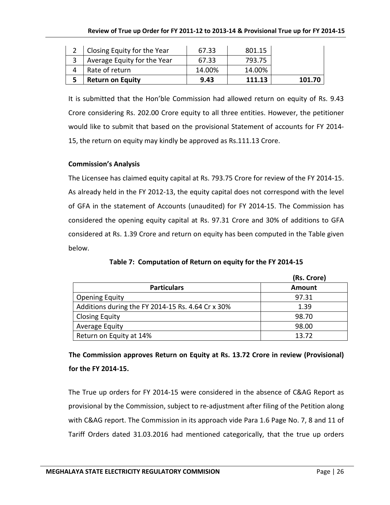| Closing Equity for the Year | 67.33  | 801.15 |        |
|-----------------------------|--------|--------|--------|
| Average Equity for the Year | 67.33  | 793.75 |        |
| Rate of return              | 14.00% | 14.00% |        |
| <b>Return on Equity</b>     | 9.43   | 111.13 | 101.70 |

It is submitted that the Hon'ble Commission had allowed return on equity of Rs. 9.43 Crore considering Rs. 202.00 Crore equity to all three entities. However, the petitioner would like to submit that based on the provisional Statement of accounts for FY 2014- 15, the return on equity may kindly be approved as Rs.111.13 Crore.

### **Commission's Analysis**

The Licensee has claimed equity capital at Rs. 793.75 Crore for review of the FY 2014-15. As already held in the FY 2012-13, the equity capital does not correspond with the level of GFA in the statement of Accounts (unaudited) for FY 2014-15. The Commission has considered the opening equity capital at Rs. 97.31 Crore and 30% of additions to GFA considered at Rs. 1.39 Crore and return on equity has been computed in the Table given below.

|                                                   | (RS. Crore)   |
|---------------------------------------------------|---------------|
| <b>Particulars</b>                                | <b>Amount</b> |
| <b>Opening Equity</b>                             | 97.31         |
| Additions during the FY 2014-15 Rs. 4.64 Cr x 30% | 1.39          |
| <b>Closing Equity</b>                             | 98.70         |
| Average Equity                                    | 98.00         |
| Return on Equity at 14%                           | 13.72         |

**Table 7: Computation of Return on equity for the FY 2014-15**

# **The Commission approves Return on Equity at Rs. 13.72 Crore in review (Provisional) for the FY 2014-15.**

The True up orders for FY 2014-15 were considered in the absence of C&AG Report as provisional by the Commission, subject to re-adjustment after filing of the Petition along with C&AG report. The Commission in its approach vide Para 1.6 Page No. 7, 8 and 11 of Tariff Orders dated 31.03.2016 had mentioned categorically, that the true up orders

**(Rs. Crore)**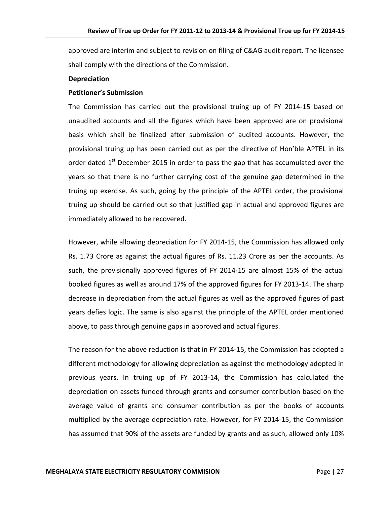approved are interim and subject to revision on filing of C&AG audit report. The licensee shall comply with the directions of the Commission.

#### **Depreciation**

#### **Petitioner's Submission**

The Commission has carried out the provisional truing up of FY 2014-15 based on unaudited accounts and all the figures which have been approved are on provisional basis which shall be finalized after submission of audited accounts. However, the provisional truing up has been carried out as per the directive of Hon'ble APTEL in its order dated  $1<sup>st</sup>$  December 2015 in order to pass the gap that has accumulated over the years so that there is no further carrying cost of the genuine gap determined in the truing up exercise. As such, going by the principle of the APTEL order, the provisional truing up should be carried out so that justified gap in actual and approved figures are immediately allowed to be recovered.

However, while allowing depreciation for FY 2014-15, the Commission has allowed only Rs. 1.73 Crore as against the actual figures of Rs. 11.23 Crore as per the accounts. As such, the provisionally approved figures of FY 2014-15 are almost 15% of the actual booked figures as well as around 17% of the approved figures for FY 2013-14. The sharp decrease in depreciation from the actual figures as well as the approved figures of past years defies logic. The same is also against the principle of the APTEL order mentioned above, to pass through genuine gaps in approved and actual figures.

The reason for the above reduction is that in FY 2014-15, the Commission has adopted a different methodology for allowing depreciation as against the methodology adopted in previous years. In truing up of FY 2013-14, the Commission has calculated the depreciation on assets funded through grants and consumer contribution based on the average value of grants and consumer contribution as per the books of accounts multiplied by the average depreciation rate. However, for FY 2014-15, the Commission has assumed that 90% of the assets are funded by grants and as such, allowed only 10%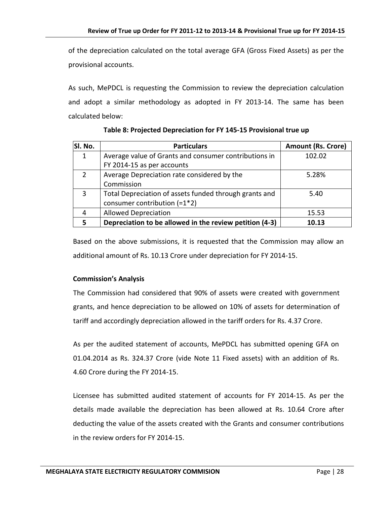of the depreciation calculated on the total average GFA (Gross Fixed Assets) as per the provisional accounts.

As such, MePDCL is requesting the Commission to review the depreciation calculation and adopt a similar methodology as adopted in FY 2013-14. The same has been calculated below:

| Sl. No.       | <b>Particulars</b>                                      | <b>Amount (Rs. Crore)</b> |
|---------------|---------------------------------------------------------|---------------------------|
| 1             | Average value of Grants and consumer contributions in   | 102.02                    |
|               | FY 2014-15 as per accounts                              |                           |
| $\mathcal{P}$ | Average Depreciation rate considered by the             | 5.28%                     |
|               | Commission                                              |                           |
| 3             | Total Depreciation of assets funded through grants and  | 5.40                      |
|               | consumer contribution $(=1*2)$                          |                           |
| 4             | <b>Allowed Depreciation</b>                             | 15.53                     |
| 5             | Depreciation to be allowed in the review petition (4-3) | 10.13                     |

**Table 8: Projected Depreciation for FY 145-15 Provisional true up**

Based on the above submissions, it is requested that the Commission may allow an additional amount of Rs. 10.13 Crore under depreciation for FY 2014-15.

### **Commission's Analysis**

The Commission had considered that 90% of assets were created with government grants, and hence depreciation to be allowed on 10% of assets for determination of tariff and accordingly depreciation allowed in the tariff orders for Rs. 4.37 Crore.

As per the audited statement of accounts, MePDCL has submitted opening GFA on 01.04.2014 as Rs. 324.37 Crore (vide Note 11 Fixed assets) with an addition of Rs. 4.60 Crore during the FY 2014-15.

Licensee has submitted audited statement of accounts for FY 2014-15. As per the details made available the depreciation has been allowed at Rs. 10.64 Crore after deducting the value of the assets created with the Grants and consumer contributions in the review orders for FY 2014-15.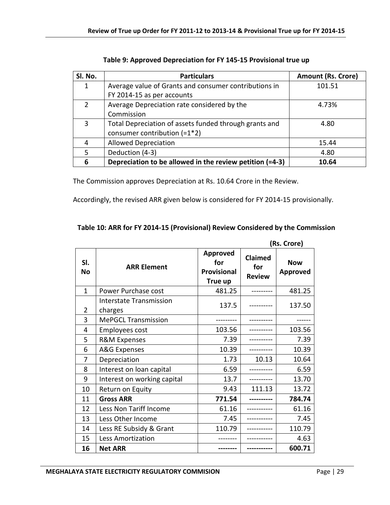| SI. No.        | <b>Particulars</b>                                       | <b>Amount (Rs. Crore)</b> |
|----------------|----------------------------------------------------------|---------------------------|
| $\mathbf{1}$   | Average value of Grants and consumer contributions in    | 101.51                    |
|                | FY 2014-15 as per accounts                               |                           |
| $\overline{2}$ | Average Depreciation rate considered by the              | 4.73%                     |
|                | Commission                                               |                           |
| 3              | Total Depreciation of assets funded through grants and   | 4.80                      |
|                | consumer contribution $(=1*2)$                           |                           |
| 4              | <b>Allowed Depreciation</b>                              | 15.44                     |
| 5              | Deduction (4-3)                                          | 4.80                      |
| 6              | Depreciation to be allowed in the review petition (=4-3) | 10.64                     |

| Table 9: Approved Depreciation for FY 145-15 Provisional true up |  |  |  |  |
|------------------------------------------------------------------|--|--|--|--|
|------------------------------------------------------------------|--|--|--|--|

The Commission approves Depreciation at Rs. 10.64 Crore in the Review.

Accordingly, the revised ARR given below is considered for FY 2014-15 provisionally.

| Table 10: ARR for FY 2014-15 (Provisional) Review Considered by the Commission |  |  |
|--------------------------------------------------------------------------------|--|--|
|                                                                                |  |  |

|                  | (Rs. Crore)                        |                                                  |                                 |                        |
|------------------|------------------------------------|--------------------------------------------------|---------------------------------|------------------------|
| SI.<br><b>No</b> | <b>ARR Element</b>                 | <b>Approved</b><br>for<br>Provisional<br>True up | Claimed<br>for<br><b>Review</b> | <b>Now</b><br>Approved |
| $\mathbf{1}$     | Power Purchase cost                | 481.25                                           |                                 | 481.25                 |
| 2                | Interstate Transmission<br>charges | 137.5                                            |                                 | 137.50                 |
| 3                | <b>MePGCL Transmission</b>         |                                                  |                                 |                        |
| 4                | <b>Employees cost</b>              | 103.56                                           |                                 | 103.56                 |
| 5                | <b>R&amp;M Expenses</b>            | 7.39                                             |                                 | 7.39                   |
| 6                | A&G Expenses                       | 10.39                                            |                                 | 10.39                  |
| 7                | Depreciation                       | 1.73                                             | 10.13                           | 10.64                  |
| 8                | Interest on loan capital           | 6.59                                             |                                 | 6.59                   |
| 9                | Interest on working capital        | 13.7                                             |                                 | 13.70                  |
| 10               | Return on Equity                   | 9.43                                             | 111.13                          | 13.72                  |
| 11               | <b>Gross ARR</b>                   | 771.54                                           |                                 | 784.74                 |
| 12               | Less Non Tariff Income             | 61.16                                            |                                 | 61.16                  |
| 13               | Less Other Income                  | 7.45                                             |                                 | 7.45                   |
| 14               | Less RE Subsidy & Grant            | 110.79                                           |                                 | 110.79                 |
| 15               | Less Amortization                  |                                                  |                                 | 4.63                   |
| 16               | <b>Net ARR</b>                     |                                                  |                                 | 600.71                 |